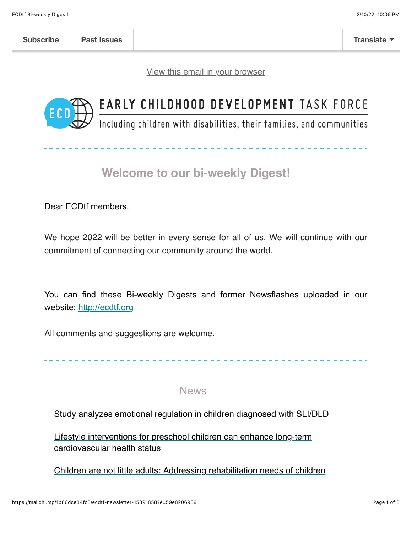[View this email in your browser](https://mailchi.mp/1b86dce84fc8/ecdtf-newsletter-15891858?e=59e8206939)



# EARLY CHILDHOOD DEVELOPMENT TASK FORCE

Including children with disabilities, their families, and communities

# **Welcome to our bi-weekly Digest!**

Dear ECDtf members,

We hope 2022 will be better in every sense for all of us. We will continue with our commitment of connecting our community around the world.

You can find these Bi-weekly Digests and former Newsflashes uploaded in our website: [http://ecdtf.org](http://ecdtf.org/)

All comments and suggestions are welcome.

**News** 

[Study analyzes emotional regulation in children diagnosed with SLI/DLD](https://www.news-medical.net/news/20220118/Study-analyzes-emotional-regulation-in-children-diagnosed-with-SLIDLD.aspx)

[Lifestyle interventions for preschool children can enhance long-term](https://www.news-medical.net/news/20220117/Lifestyle-interventions-for-preschool-children-can-enhance-long-term-cardiovascular-health-status.aspx?fbclid=IwAR1ZNxp7e-OeRw42cS6VQ0SYbwfsBMF9896C00e3GbA394k3jgD6kc86T1k) cardiovascular health status

[Children are not little adults: Addressing rehabilitation needs of children](https://www.relabhs.org/children-are-not-little-adults-addressing-rehabilitation-needs-of-children/)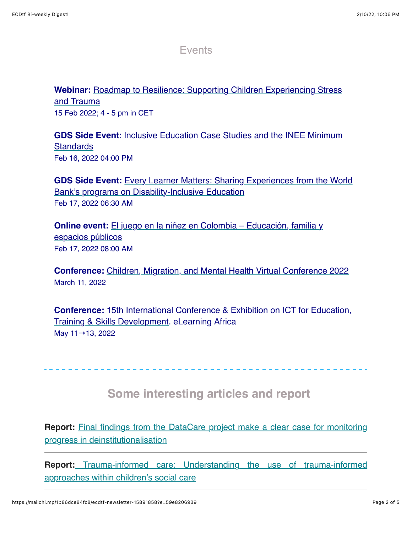Events

**Webinar:** [Roadmap to Resilience: Supporting Children Experiencing Stress](https://childhub.org/en/child-protection-webinars/roadmap-resilience-supporting-children-experiencing-stress-and-trauma) and Trauma 15 Feb 2022; 4 - 5 pm in CET

**GDS Side Event**[: Inclusive Education Case Studies and the INEE Minimum](https://rescue.zoom.us/webinar/register/WN_EjmJ3qEPQVCQoJpU0sMzKA?utm_source=INEE+email+lists&utm_campaign=af777ea56a-EMAIL_CAMPAIGN_2019_10_08_10_35_COPY_01&utm_medium=email&utm_term=0_710662b6ab-af777ea56a-25783713) **Standards** Feb 16, 2022 04:00 PM

**GDS Side Event:** [Every Learner Matters: Sharing Experiences from the World](https://worldbankgroup.zoom.us/meeting/register/tJEscO2pqT0vGdGcjSFvimd0NHe_d3ydFKz1) Bank's programs on Disability-Inclusive Education Feb 17, 2022 06:30 AM

**Online event:** [El juego en la niñez en Colombia – Educación, familia y](https://us02web.zoom.us/webinar/register/WN_On_l2eUCR-OxhudjwvkhXg) espacios públicos Feb 17, 2022 08:00 AM

**Conference:** [Children, Migration, and Mental Health Virtual Conference 2022](https://event.newschool.edu/childrenmigrationmentalhealth) March 11, 2022

**Conference:** [15th International Conference & Exhibition on ICT for Education,](https://www.elearning-africa.com/conference2022/) Training & Skills Development. eLearning Africa May 11→13, 2022

 **Some interesting articles and report** 

**Report:** [Final findings from the DataCare project make a clear case for monitoring](https://www.eurochild.org/news/new-research-from-eurochild-and-unicef-makes-a-clear-case-for-monitoring-progress-in-deinstitutionalisation-for-children-in-alternative-care/) progress in deinstitutionalisation

**Report:** [Trauma-informed care: Understanding the use of trauma-informed](https://www.eif.org.uk/report/trauma-informed-care-understanding-the-use-of-trauma-informed-approaches-within-childrens-social-care) approaches within children's social care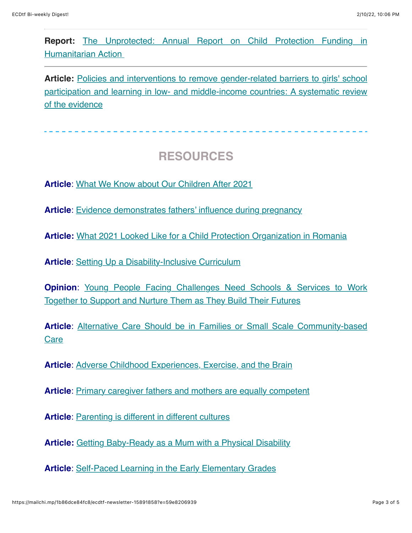**Report:** [The Unprotected: Annual Report on Child Protection Funding in](https://alliancecpha.org/en/child-protection-online-library/report-unprotected-annual-spotlight-child-protection-funding) Humanitarian Action

Article: Policies and interventions to remove gender-related barriers to girls' school [participation and learning in low- and middle-income countries: A systematic review](https://onlinelibrary.wiley.com/doi/full/10.1002/cl2.1207) of the evidence

# **RESOURCES**

**Article**: [What We Know about Our Children After 2021](https://www.childinthecity.org/2022/01/12/what-we-know-about-our-children-after-2021/?fbclid=IwAR0CvB74LO1qH9zQCl9eQfRvUnEWg8Z0kjwMLP3woTfKQgEWIKHFUcQ6g1Y)

**Article**: [Evidence demonstrates fathers' influence during pregnancy](https://childandfamilyblog.com/expectant-fathers-child-development-prenatally/)

**Article:** [What 2021 Looked Like for a Child Protection Organization in Romania](https://childhub.org/en/child-protection-news/what-2021-looked-child-protection-organization-romania)

**Article:** [Setting Up a Disability-Inclusive Curriculum](https://www.edutopia.org/article/setting-disability-inclusive-curriculum)

**Opinion:** Young People Facing Challenges Need Schools & Services to Work Together to Support and Nurture Them as They Build Their Futures

Article[: Alternative Care Should be in Families or Small Scale Community-based](https://childhub.org/en/child-protection-news/alternative-care-should-be-families-or-small-scale-community-based-care) **Care** 

**Article**: [Adverse Childhood Experiences, Exercise, and the Brain](https://www.psychologytoday.com/us/blog/hidden-wounds/202201/adverse-childhood-experiences-exercise-and-the-brain?fbclid=IwAR0A86N9mZb-hxA1KYKWxdPbwKZlVrJVujOyrTg4n34WrmMq2XxlD7xhn-k)

**Article**: [Primary caregiver fathers and mothers are equally competent](https://childandfamilyblog.com/primary-caregiver-fathers-and-mothers-are-equally-competent/)

Article: **[Parenting is different in different cultures](https://childandfamilyblog.com/cultural-parenting-child-development/)** 

**Article:** [Getting Baby-Ready as a Mum with a Physical Disability](https://www.disabilitymaternitycare.com/getting-baby-ready-as-a-mum-with-a-physical-disability/)

**Article**: [Self-Paced Learning in the Early Elementary Grades](https://www.edutopia.org/article/self-paced-learning-early-elementary-grades?utm_content=linkpos10&utm_medium=email&utm_campaign=weekly-2022-02-02-A&utm_source=edu-newsletter)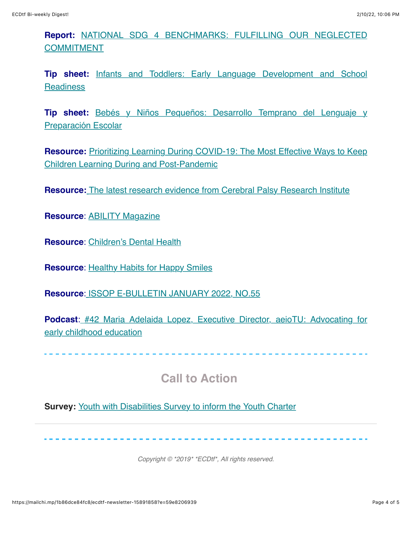### **Report:** [NATIONAL SDG 4 BENCHMARKS: FULFILLING OUR NEGLECTED](https://en.unesco.org/gem-report/node/3617) **COMMITMENT**

**Tip sheet:** [Infants and Toddlers: Early Language Development and School](https://www.inclusivechildcare.org/sites/default/files/courses/swf/Infants%20and%20Toddlers-Early%20Language%20Development%20and%20School%20Readiness.pdf) **Readiness** 

**Tip sheet:** [Bebés y Niños Pequeños: Desarrollo Temprano del Lenguaje y](https://www.inclusivechildcare.org/sites/default/files/courses/swf/Beb%C3%A9s%20y%20Ni%C3%B1os%20Peque%C3%B1os-Desarrollo%20Temprano%20del%20Lenguaje%20y%20Preparaci%C3%B3n%20Escolar%20%28Infants%20and%20Toddlers-Early%20Language%20Development%20and%20School%20Readiness%29.pdf) Preparación Escolar

**Resource:** [Prioritizing Learning During COVID-19: The Most Effective Ways to Keep](https://thedocs.worldbank.org/en/doc/5f911bdf7c5c8abf060467865acf1abd-0200022022/original/Prioritizing-Learning-GEEAP-Report-Final-01-24-2022.pdf) Children Learning During and Post-Pandemic

**Resource:** [The latest research evidence from Cerebral Palsy Research Institute](https://cerebralpalsy.org.au/our-research/about-cerebral-palsy/cerebral-palsy-treatment-guides/?utm_medium=email&utm_campaign=Web%20Subscribers%20client%20engagement%20eDM%20Jan%202022&utm_content=Web%20Subscribers%20client%20engagement%20eDM%20Jan%202022+CID_e2e0ce9be2458ddabe51fb1bb8d611b2&utm_source=Email%20marketing%20system)

**Resource**: [ABILITY Magazine](https://abilitymagazine.com/)

**Resource**: [Children's Dental Health](https://www.cdc.gov/oralhealth/publications/features/childrens-dental-health.html)

**Resource**: [Healthy Habits for Happy Smiles](https://eclkc.ohs.acf.hhs.gov/browse/series/healthy-habits-happy-smiles?utm_medium=email&utm_campaign=Healthy%20Habits%20for%20Happy%20Smiles%20Handouts&utm_content=Healthy%20Habits%20for%20Happy%20Smiles%20Handouts%20CID_5005fdc7488a2c07344b7bf7a01b6ca4&utm_source=CM%20Eblast&utm_term=httpseclkcohsacfhhsgovoral-healtharticlehealthy-habits-happy-smiles&cid=5005fdc7488a2c07344b7bf7a01b6ca4)

**Resource**: [ISSOP E-BULLETIN JANUARY 2022, NO.55](https://www.issop.org/cmdownloads/issop-e-bulletin-january-2022-no-55/)

**Podcast**: [#42 Maria Adelaida Lopez, Executive Director, aeioTU: Advocating for](https://podcasts.apple.com/us/podcast/42-maria-adelaida-lopez-executive-director-aeiotu-advocating/id1518322612?i=1000550010039&mkt_tok=MzQ0LUFFWi04OTEAAAGCY19RC5qCq5T1eV4qfR1KCl4QaBZZ3BFPtmCDTH_LlnZr4ayMCrT0ZB5uwh0_UqSDWJAqm4duWX5dAe4qrio71wY7mCeKP8Q9Ya0e-sGTY33yE_M7K6Hs6Vc) early childhood education

------------------------

# **Call to Action**

**Survey: [Youth with Disabilities Survey to inform the Youth Charter](https://www.surveymonkey.com/r/HPX7WNW)** 

*Copyright © \*2019\* \*ECDtf\*, All rights reserved.*